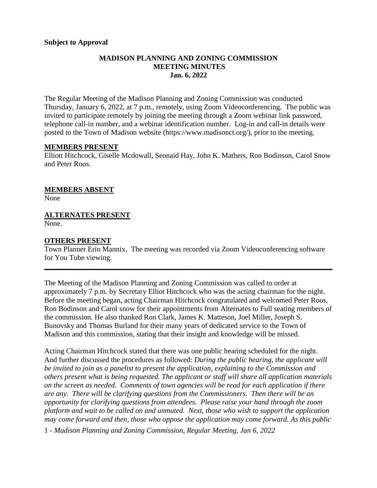### **Subject to Approval**

### **MADISON PLANNING AND ZONING COMMISSION MEETING MINUTES Jan. 6, 2022**

The Regular Meeting of the Madison Planning and Zoning Commission was conducted Thursday, January 6, 2022, at 7 p.m., remotely, using Zoom Videoconferencing. The public was invited to participate remotely by joining the meeting through a Zoom webinar link password, telephone call-in number, and a webinar identification number. Log-in and call-in details were posted to the Town of Madison website [\(https://www.madisonct.org/\)](https://www.madisonct.org/), prior to the meeting.

#### **MEMBERS PRESENT**

Elliott Hitchcock, Giselle Mcdowall, Seonaid Hay, John K. Mathers, Ron Bodinson, Carol Snow and Peter Roos.

### **MEMBERS ABSENT**

None

## **ALTERNATES PRESENT**

None.

### **OTHERS PRESENT**

Town Planner Erin Mannix. The meeting was recorded via Zoom Videoconferencing software for You Tube viewing.

**\_\_\_\_\_\_\_\_\_\_\_\_\_\_\_\_\_\_\_\_\_\_\_\_\_\_\_\_\_\_\_\_\_\_\_\_\_\_\_\_\_\_\_\_\_\_\_\_\_\_\_\_\_\_\_\_\_\_\_\_\_\_\_\_\_\_\_\_\_\_\_\_\_\_\_\_\_\_**

The Meeting of the Madison Planning and Zoning Commission was called to order at approximately 7 p.m. by Secretary Elliot Hitchcock who was the acting chairman for the night. Before the meeting began, acting Chairman Hitchcock congratulated and welcomed Peter Roos, Ron Bodinson and Carol snow for their appointments from Alternates to Full seating members of the commission. He also thanked Ron Clark, James K. Matteson, Joel Miller, Joseph S. Bunovsky and Thomas Burland for their many years of dedicated service to the Town of Madison and this commission, stating that their insight and knowledge will be missed.

Acting Chairman Hitchcock stated that there was one public hearing scheduled for the night. And further discussed the procedures as followed: *During the public hearing, the applicant will be invited to join as a panelist to present the application, explaining to the Commission and others present what is being requested. The applicant or staff will share all application materials on the screen as needed. Comments of town agencies will be read for each application if there are any. There will be clarifying questions from the Commissioners. Then there will be an opportunity for clarifying questions from attendees. Please raise your hand through the zoom platform and wait to be called on and unmuted. Next, those who wish to support the application may come forward and then, those who oppose the application may come forward. As this public*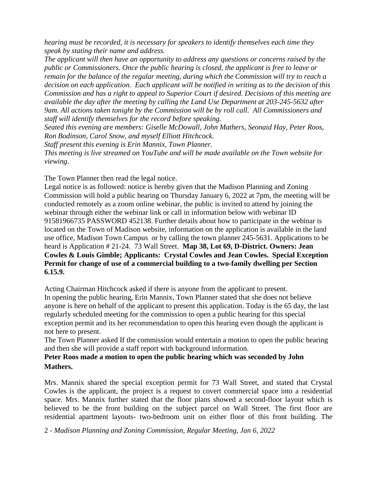*hearing must be recorded, it is necessary for speakers to identify themselves each time they speak by stating their name and address.* 

*The applicant will then have an opportunity to address any questions or concerns raised by the public or Commissioners. Once the public hearing is closed, the applicant is free to leave or remain for the balance of the regular meeting, during which the Commission will try to reach a decision on each application. Each applicant will be notified in writing as to the decision of this Commission and has a right to appeal to Superior Court if desired. Decisions of this meeting are available the day after the meeting by calling the Land Use Department at 203-245-5632 after 9am. All actions taken tonight by the Commission will be by roll call. All Commissioners and staff will identify themselves for the record before speaking.* 

*Seated this evening are members: Giselle McDowall, John Mathers, Seonaid Hay, Peter Roos, Ron Bodinson, Carol Snow, and myself Elliott Hitchcock.* 

*Staff present this evening is Erin Mannix, Town Planner.* 

*This meeting is live streamed on YouTube and will be made available on the Town website for viewing.* 

The Town Planner then read the legal notice.

Legal notice is as followed: notice is hereby given that the Madison Planning and Zoning Commission will hold a public hearing on Thursday January 6, 2022 at 7pm, the meeting will be conducted remotely as a zoom online webinar, the public is invited to attend by joining the webinar through either the webinar link or call in information below with webinar ID 91581966735 PASSWORD 452138. Further details about how to participate in the webinar is located on the Town of Madison website, information on the application is available in the land use office, Madison Town Campus or by calling the town planner 245-5631. Applications to be heard is Application # 21-24. 73 Wall Street. **Map 38, Lot 69, D-District. Owners: Jean Cowles & Louis Gimble; Applicants: Crystal Cowles and Jean Cowles. Special Exception Permit for change of use of a commercial building to a two-family dwelling per Section 6.15.9.** 

Acting Chairman Hitchcock asked if there is anyone from the applicant to present.

In opening the public hearing, Erin Mannix, Town Planner stated that she does not believe anyone is here on behalf of the applicant to present this application. Today is the 65 day, the last regularly scheduled meeting for the commission to open a public hearing for this special exception permit and its her recommendation to open this hearing even though the applicant is not here to present.

The Town Planner asked If the commission would entertain a motion to open the public hearing and then she will provide a staff report with background information.

## **Peter Roos made a motion to open the public hearing which was seconded by John Mathers.**

Mrs. Mannix shared the special exception permit for 73 Wall Street, and stated that Crystal Cowles is the applicant, the project is a request to covert commercial space into a residential space. Mrs. Mannix further stated that the floor plans showed a second-floor layout which is believed to be the front building on the subject parcel on Wall Street. The first floor are residential apartment layouts- two-bedroom unit on either floor of this front building. The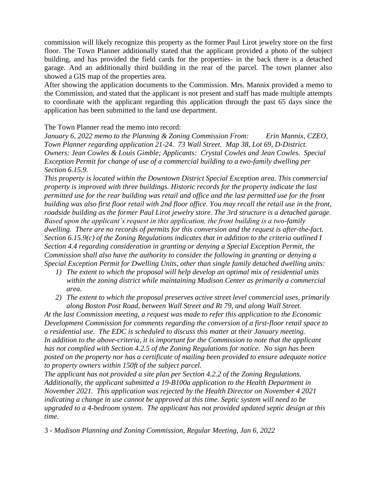commission will likely recognize this property as the former Paul Lirot jewelry store on the first floor. The Town Planner additionally stated that the applicant provided a photo of the subject building, and has provided the field cards for the properties- in the back there is a detached garage. And an additionally third building in the rear of the parcel. The town planner also showed a GIS map of the properties area.

After showing the application documents to the Commission. Mrs. Mannix provided a memo to the Commission, and stated that the applicant is not present and staff has made multiple attempts to coordinate with the applicant regarding this application through the past 65 days since the application has been submitted to the land use department.

The Town Planner read the memo into record:

*January 6, 2022 memo to the Planning & Zoning Commission From: Erin Mannix, CZEO, Town Planner regarding application 21-24. 73 Wall Street. Map 38, Lot 69, D-District. Owners: Jean Cowles & Louis Gimble; Applicants: Crystal Cowles and Jean Cowles. Special Exception Permit for change of use of a commercial building to a two-family dwelling per Section 6.15.9.* 

*This property is located within the Downtown District Special Exception area. This commercial property is improved with three buildings. Historic records for the property indicate the last permitted use for the rear building was retail and office and the last permitted use for the front building was also first floor retail with 2nd floor office. You may recall the retail use in the front, roadside building as the former Paul Lirot jewelry store. The 3rd structure is a detached garage. Based upon the applicant's request in this application, the front building is a two-family dwelling. There are no records of permits for this conversion and the request is after-the-fact. Section 6.15.9(c) of the Zoning Regulations indicates that in addition to the criteria outlined I Section 4.4 regarding consideration in granting or denying a Special Exception Permit, the Commission shall also have the authority to consider the following in granting or denying a Special Exception Permit for Dwelling Units, other than single family detached dwelling units:*

- *1) The extent to which the proposal will help develop an optimal mix of residential units within the zoning district while maintaining Madison Center as primarily a commercial area.*
- *2) The extent to which the proposal preserves active street level commercial uses, primarily along Boston Post Road, between Wall Street and Rt 79, and along Wall Street.*

*At the last Commission meeting, a request was made to refer this application to the Economic Development Commission for comments regarding the conversion of a first-floor retail space to a residential use. The EDC is scheduled to discuss this matter at their January meeting. In addition to the above-criteria, it is important for the Commission to note that the applicant has not complied with Section 4.2.5 of the Zoning Regulations for notice. No sign has been posted on the property nor has a certificate of mailing been provided to ensure adequate notice to property owners within 150ft of the subject parcel.* 

*The applicant has not provided a site plan per Section 4.2.2 of the Zoning Regulations. Additionally, the applicant submitted a 19-B100a application to the Health Department in November 2021. This application was rejected by the Health Director on November 4 2021 indicating a change in use cannot be approved at this time. Septic system will need to be upgraded to a 4-bedroom system. The applicant has not provided updated septic design at this time.*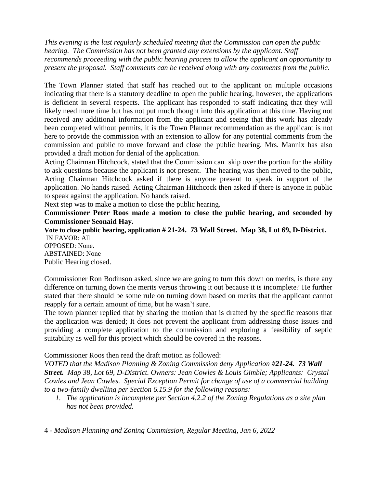*This evening is the last regularly scheduled meeting that the Commission can open the public hearing. The Commission has not been granted any extensions by the applicant. Staff recommends proceeding with the public hearing process to allow the applicant an opportunity to present the proposal. Staff comments can be received along with any comments from the public.* 

The Town Planner stated that staff has reached out to the applicant on multiple occasions indicating that there is a statutory deadline to open the public hearing, however, the applications is deficient in several respects. The applicant has responded to staff indicating that they will likely need more time but has not put much thought into this application at this time. Having not received any additional information from the applicant and seeing that this work has already been completed without permits, it is the Town Planner recommendation as the applicant is not here to provide the commission with an extension to allow for any potential comments from the commission and public to move forward and close the public hearing. Mrs. Mannix has also provided a draft motion for denial of the application.

Acting Chairman Hitchcock, stated that the Commission can skip over the portion for the ability to ask questions because the applicant is not present. The hearing was then moved to the public, Acting Chairman Hitchcock asked if there is anyone present to speak in support of the application. No hands raised. Acting Chairman Hitchcock then asked if there is anyone in public to speak against the application. No hands raised.

Next step was to make a motion to close the public hearing.

**Commissioner Peter Roos made a motion to close the public hearing, and seconded by Commissioner Seonaid Hay.**

**Vote to close public hearing, application # 21-24. 73 Wall Street. Map 38, Lot 69, D-District.** IN FAVOR: All OPPOSED: None. ABSTAINED: None Public Hearing closed.

Commissioner Ron Bodinson asked, since we are going to turn this down on merits, is there any difference on turning down the merits versus throwing it out because it is incomplete? He further stated that there should be some rule on turning down based on merits that the applicant cannot reapply for a certain amount of time, but he wasn't sure.

The town planner replied that by sharing the motion that is drafted by the specific reasons that the application was denied; It does not prevent the applicant from addressing those issues and providing a complete application to the commission and exploring a feasibility of septic suitability as well for this project which should be covered in the reasons.

## Commissioner Roos then read the draft motion as followed:

*VOTED that the Madison Planning & Zoning Commission deny Application #21-24. 73 Wall Street. Map 38, Lot 69, D-District. Owners: Jean Cowles & Louis Gimble; Applicants: Crystal Cowles and Jean Cowles. Special Exception Permit for change of use of a commercial building to a two-family dwelling per Section 6.15.9 for the following reasons:*

*1. The application is incomplete per Section 4.2.2 of the Zoning Regulations as a site plan has not been provided.*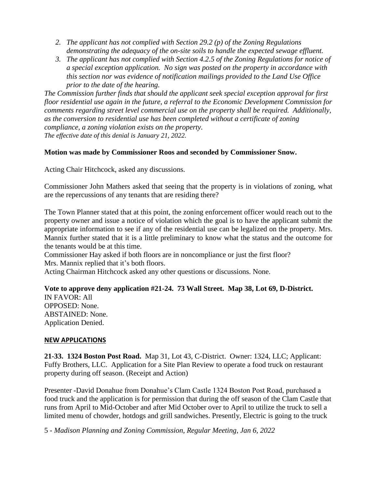- *2. The applicant has not complied with Section 29.2 (p) of the Zoning Regulations demonstrating the adequacy of the on-site soils to handle the expected sewage effluent.*
- *3. The applicant has not complied with Section 4.2.5 of the Zoning Regulations for notice of a special exception application. No sign was posted on the property in accordance with this section nor was evidence of notification mailings provided to the Land Use Office prior to the date of the hearing.*

*The Commission further finds that should the applicant seek special exception approval for first floor residential use again in the future, a referral to the Economic Development Commission for comments regarding street level commercial use on the property shall be required. Additionally, as the conversion to residential use has been completed without a certificate of zoning compliance, a zoning violation exists on the property. The effective date of this denial is January 21, 2022.* 

## **Motion was made by Commissioner Roos and seconded by Commissioner Snow.**

Acting Chair Hitchcock, asked any discussions.

Commissioner John Mathers asked that seeing that the property is in violations of zoning, what are the repercussions of any tenants that are residing there?

The Town Planner stated that at this point, the zoning enforcement officer would reach out to the property owner and issue a notice of violation which the goal is to have the applicant submit the appropriate information to see if any of the residential use can be legalized on the property. Mrs. Mannix further stated that it is a little preliminary to know what the status and the outcome for the tenants would be at this time.

Commissioner Hay asked if both floors are in noncompliance or just the first floor? Mrs. Mannix replied that it's both floors.

Acting Chairman Hitchcock asked any other questions or discussions. None.

# **Vote to approve deny application #21-24. 73 Wall Street. Map 38, Lot 69, D-District.**

IN FAVOR: All OPPOSED: None. ABSTAINED: None. Application Denied.

### **NEW APPLICATIONS**

**21-33. 1324 Boston Post Road.** Map 31, Lot 43, C-District. Owner: 1324, LLC; Applicant: Fuffy Brothers, LLC. Application for a Site Plan Review to operate a food truck on restaurant property during off season. (Receipt and Action)

Presenter -David Donahue from Donahue's Clam Castle 1324 Boston Post Road, purchased a food truck and the application is for permission that during the off season of the Clam Castle that runs from April to Mid-October and after Mid October over to April to utilize the truck to sell a limited menu of chowder, hotdogs and grill sandwiches. Presently, Electric is going to the truck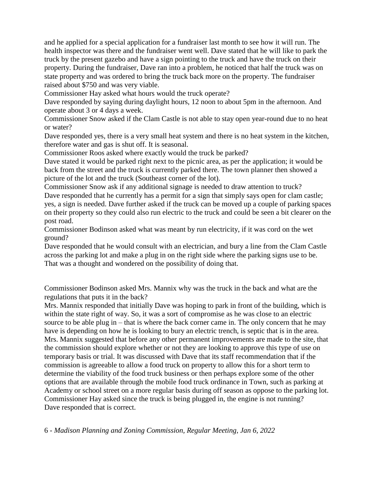and he applied for a special application for a fundraiser last month to see how it will run. The health inspector was there and the fundraiser went well. Dave stated that he will like to park the truck by the present gazebo and have a sign pointing to the truck and have the truck on their property. During the fundraiser, Dave ran into a problem, he noticed that half the truck was on state property and was ordered to bring the truck back more on the property. The fundraiser raised about \$750 and was very viable.

Commissioner Hay asked what hours would the truck operate?

Dave responded by saying during daylight hours, 12 noon to about 5pm in the afternoon. And operate about 3 or 4 days a week.

Commissioner Snow asked if the Clam Castle is not able to stay open year-round due to no heat or water?

Dave responded yes, there is a very small heat system and there is no heat system in the kitchen, therefore water and gas is shut off. It is seasonal.

Commissioner Roos asked where exactly would the truck be parked?

Dave stated it would be parked right next to the picnic area, as per the application; it would be back from the street and the truck is currently parked there. The town planner then showed a picture of the lot and the truck (Southeast corner of the lot).

Commissioner Snow ask if any additional signage is needed to draw attention to truck? Dave responded that he currently has a permit for a sign that simply says open for clam castle; yes, a sign is needed. Dave further asked if the truck can be moved up a couple of parking spaces on their property so they could also run electric to the truck and could be seen a bit clearer on the post road.

Commissioner Bodinson asked what was meant by run electricity, if it was cord on the wet ground?

Dave responded that he would consult with an electrician, and bury a line from the Clam Castle across the parking lot and make a plug in on the right side where the parking signs use to be. That was a thought and wondered on the possibility of doing that.

Commissioner Bodinson asked Mrs. Mannix why was the truck in the back and what are the regulations that puts it in the back?

Mrs. Mannix responded that initially Dave was hoping to park in front of the building, which is within the state right of way. So, it was a sort of compromise as he was close to an electric source to be able plug in – that is where the back corner came in. The only concern that he may have is depending on how he is looking to bury an electric trench, is septic that is in the area. Mrs. Mannix suggested that before any other permanent improvements are made to the site, that the commission should explore whether or not they are looking to approve this type of use on temporary basis or trial. It was discussed with Dave that its staff recommendation that if the commission is agreeable to allow a food truck on property to allow this for a short term to determine the viability of the food truck business or then perhaps explore some of the other options that are available through the mobile food truck ordinance in Town, such as parking at Academy or school street on a more regular basis during off season as oppose to the parking lot. Commissioner Hay asked since the truck is being plugged in, the engine is not running? Dave responded that is correct.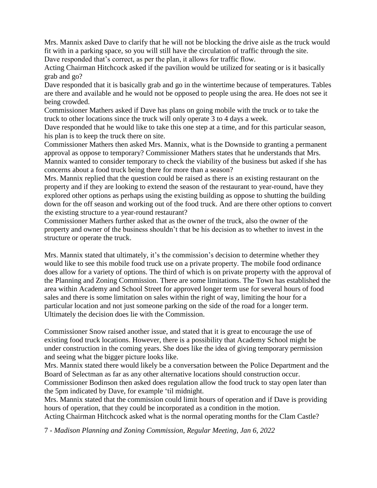Mrs. Mannix asked Dave to clarify that he will not be blocking the drive aisle as the truck would fit with in a parking space, so you will still have the circulation of traffic through the site. Dave responded that's correct, as per the plan, it allows for traffic flow.

Acting Chairman Hitchcock asked if the pavilion would be utilized for seating or is it basically grab and go?

Dave responded that it is basically grab and go in the wintertime because of temperatures. Tables are there and available and he would not be opposed to people using the area. He does not see it being crowded.

Commissioner Mathers asked if Dave has plans on going mobile with the truck or to take the truck to other locations since the truck will only operate 3 to 4 days a week.

Dave responded that he would like to take this one step at a time, and for this particular season, his plan is to keep the truck there on site.

Commissioner Mathers then asked Mrs. Mannix, what is the Downside to granting a permanent approval as oppose to temporary? Commissioner Mathers states that he understands that Mrs. Mannix wanted to consider temporary to check the viability of the business but asked if she has concerns about a food truck being there for more than a season?

Mrs. Mannix replied that the question could be raised as there is an existing restaurant on the property and if they are looking to extend the season of the restaurant to year-round, have they explored other options as perhaps using the existing building as oppose to shutting the building down for the off season and working out of the food truck. And are there other options to convert the existing structure to a year-round restaurant?

Commissioner Mathers further asked that as the owner of the truck, also the owner of the property and owner of the business shouldn't that be his decision as to whether to invest in the structure or operate the truck.

Mrs. Mannix stated that ultimately, it's the commission's decision to determine whether they would like to see this mobile food truck use on a private property. The mobile food ordinance does allow for a variety of options. The third of which is on private property with the approval of the Planning and Zoning Commission. There are some limitations. The Town has established the area within Academy and School Street for approved longer term use for several hours of food sales and there is some limitation on sales within the right of way, limiting the hour for a particular location and not just someone parking on the side of the road for a longer term. Ultimately the decision does lie with the Commission.

Commissioner Snow raised another issue, and stated that it is great to encourage the use of existing food truck locations. However, there is a possibility that Academy School might be under construction in the coming years. She does like the idea of giving temporary permission and seeing what the bigger picture looks like.

Mrs. Mannix stated there would likely be a conversation between the Police Department and the Board of Selectman as far as any other alternative locations should construction occur. Commissioner Bodinson then asked does regulation allow the food truck to stay open later than the 5pm indicated by Dave, for example 'til midnight.

Mrs. Mannix stated that the commission could limit hours of operation and if Dave is providing hours of operation, that they could be incorporated as a condition in the motion. Acting Chairman Hitchcock asked what is the normal operating months for the Clam Castle?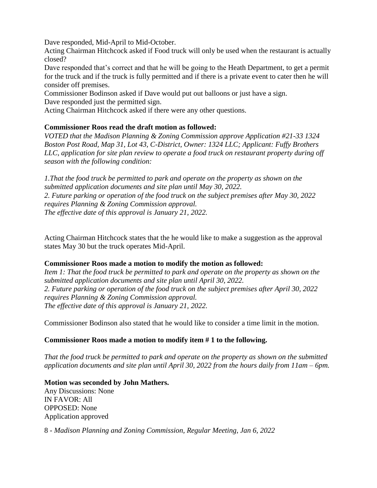Dave responded, Mid-April to Mid-October.

Acting Chairman Hitchcock asked if Food truck will only be used when the restaurant is actually closed?

Dave responded that's correct and that he will be going to the Heath Department, to get a permit for the truck and if the truck is fully permitted and if there is a private event to cater then he will consider off premises.

Commissioner Bodinson asked if Dave would put out balloons or just have a sign.

Dave responded just the permitted sign.

Acting Chairman Hitchcock asked if there were any other questions.

## **Commissioner Roos read the draft motion as followed:**

*VOTED that the Madison Planning & Zoning Commission approve Application #21-33 1324 Boston Post Road, Map 31, Lot 43, C-District, Owner: 1324 LLC; Applicant: Fuffy Brothers LLC, application for site plan review to operate a food truck on restaurant property during off season with the following condition:* 

*1.That the food truck be permitted to park and operate on the property as shown on the submitted application documents and site plan until May 30, 2022. 2. Future parking or operation of the food truck on the subject premises after May 30, 2022 requires Planning & Zoning Commission approval. The effective date of this approval is January 21, 2022.* 

Acting Chairman Hitchcock states that the he would like to make a suggestion as the approval states May 30 but the truck operates Mid-April.

### **Commissioner Roos made a motion to modify the motion as followed:**

*Item 1: That the food truck be permitted to park and operate on the property as shown on the submitted application documents and site plan until April 30, 2022. 2. Future parking or operation of the food truck on the subject premises after April 30, 2022 requires Planning & Zoning Commission approval. The effective date of this approval is January 21, 2022.* 

Commissioner Bodinson also stated that he would like to consider a time limit in the motion.

## **Commissioner Roos made a motion to modify item # 1 to the following.**

*That the food truck be permitted to park and operate on the property as shown on the submitted application documents and site plan until April 30, 2022 from the hours daily from 11am – 6pm.*

**Motion was seconded by John Mathers.** Any Discussions: None IN FAVOR: All OPPOSED: None Application approved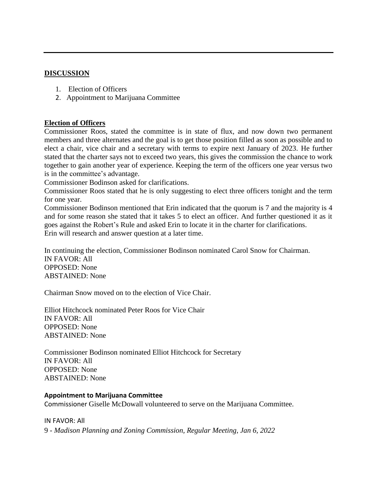### **DISCUSSION**

- 1. Election of Officers
- 2. Appointment to Marijuana Committee

### **Election of Officers**

Commissioner Roos, stated the committee is in state of flux, and now down two permanent members and three alternates and the goal is to get those position filled as soon as possible and to elect a chair, vice chair and a secretary with terms to expire next January of 2023. He further stated that the charter says not to exceed two years, this gives the commission the chance to work together to gain another year of experience. Keeping the term of the officers one year versus two is in the committee's advantage.

Commissioner Bodinson asked for clarifications.

Commissioner Roos stated that he is only suggesting to elect three officers tonight and the term for one year.

Commissioner Bodinson mentioned that Erin indicated that the quorum is 7 and the majority is 4 and for some reason she stated that it takes 5 to elect an officer. And further questioned it as it goes against the Robert's Rule and asked Erin to locate it in the charter for clarifications. Erin will research and answer question at a later time.

In continuing the election, Commissioner Bodinson nominated Carol Snow for Chairman. IN FAVOR: All OPPOSED: None ABSTAINED: None

Chairman Snow moved on to the election of Vice Chair.

Elliot Hitchcock nominated Peter Roos for Vice Chair IN FAVOR: All OPPOSED: None ABSTAINED: None

Commissioner Bodinson nominated Elliot Hitchcock for Secretary IN FAVOR: All OPPOSED: None ABSTAINED: None

### **Appointment to Marijuana Committee**

Commissioner Giselle McDowall volunteered to serve on the Marijuana Committee.

9 - *Madison Planning and Zoning Commission, Regular Meeting, Jan 6, 2022* IN FAVOR: All